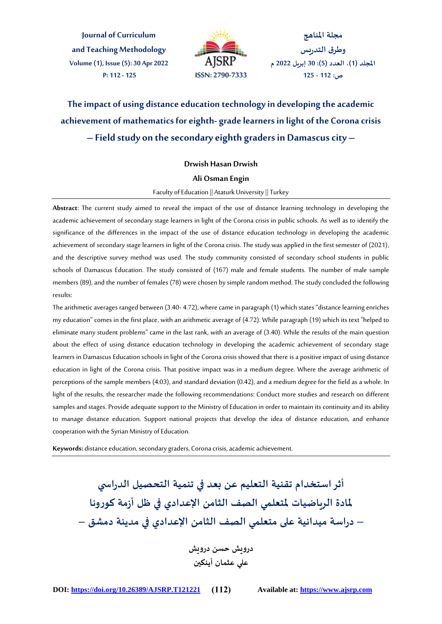**Journal of Curriculum and Teaching Methodology Volume (1), Issue (5): 30 Apr 2022 P: 112 - 125 ISSN: 2790-7333**



**مجلة املناهج وطرق التدريس املجلد )1(، العدد )5(: 30 إبريل 2022 م ص: 112 - 125**

**The impact of using distance education technology in developing the academic achievement of mathematics for eighth- grade learners in light of the Corona crisis – Field study on the secondary eighth graders in Damascus city –**

#### **Drwish Hasan Drwish**

#### **Ali Osman Engin**

#### Faculty of Education || Ataturk University || Turkey

**Abstract**: The current study aimed to reveal the impact of the use of distance learning technology in developing the academic achievement of secondary stage learners in light of the Corona crisis in public schools. As well as to identify the significance of the differences in the impact of the use of distance education technology in developing the academic achievement of secondary stage learners in light of the Corona crisis. The study was applied in the first semester of (2021), and the descriptive survey method was used. The study community consisted of secondary school students in public schools of Damascus Education. The study consisted of (167) male and female students. The number of male sample members (89), and the number of females (78) were chosen by simple random method. The study concluded the following results:

The arithmetic averages ranged between (3.40- 4.72), where came in paragraph (1) which states "distance learning enriches my education" comes in the first place, with an arithmetic average of (4.72). While paragraph (19) which its text "helped to eliminate many student problems" came in the last rank, with an average of (3.40). While the results of the main question about the effect of using distance education technology in developing the academic achievement of secondary stage learners in Damascus Education schools in light of the Corona crisis showed that there is a positive impact of using distance education in light of the Corona crisis. That positive impact was in a medium degree. Where the average arithmetic of perceptions of the sample members (4.03), and standard deviation (0.42), and a medium degree for the field as a whole. In light of the results, the researcher made the following recommendations: Conduct more studies and research on different samples and stages. Provide adequate support to the Ministry of Education in order to maintain its continuity and its ability to manage distance education. Support national projects that develop the idea of distance education, and enhance cooperation with the Syrian Ministry of Education.

**Keywords:** distance education, secondary graders, Corona crisis, academic achievement.

**أثراستخدام تقنية التعليم عن بعد في تنمية التحصيل الدراس ي ملادة الرياضيات ملتعلمي الصف الثامن اإلعدادي في ظل أزمة كورونا – دراسة ميدانية على متعلمي الصف الثامن اإلعدادي في مدينة دمشق – درويش حسن درويش**

**علي عثمان أينكين**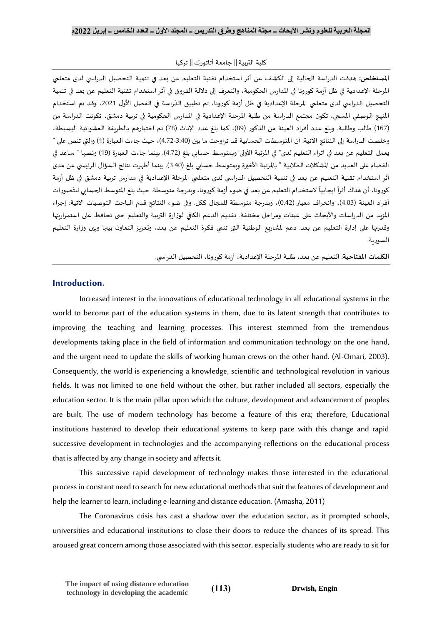كلية التربية|| جامعة أتاتورك|| تركيا

**املستخلص:** هدفت الدراسة الحالية إلى الكشف عن أثر استخدام تقنية التعليم عن بعد في تنمية التحصيل الدراس ي لدى متعلمي املرحلة اإلعدادية في ظل أزمة كورونا في املدارس الحكومية، والتعرف إلى داللة الفروق في أثر استخدام تقنية التعليم عن بعد في تنمية التحصيل الدراسي لدى متعلمي المرحلة الإعدادية في ظل أزمة كورونا، تم تطبيق الدّراسة في الفصل الأول 2021، وقد تم استخدام ֦֧֦֧֦֧֦֧֡֡֝ املنهج الوصفي املسحي، تكون مجتمع الدراسة من طلبة املرحلة اإلعدادية في املدارس الحكومية في تربية دمشق، تكونت الدراسة من )167( طالب وطالبة. وبلغ عدد أفراد العينة من الذكور )89(، كما بلغ عدد اإلناث )78( تم اختيارهم بالطريقة العشوائية البسيطة، وخلصت الدراسة إلى النتائج الآتية: أن المتوسطات الحسابية قد تراوحت ما بين (3.40-4.72)، حيث جاءت العبارة (1) والتي تنص على " يعمل التعليم عن بعد في اثراء التعليم لدي" في المرتبة الأولى' وبمتوسط حسابي بلغ (4.72). بينما جاءت العبارة (19) ونصها " ساعد في القضاء على العديد من المشكلات الطلابية " بالمرتبة الأخيرة وبمتوسط حسابي بلغ (3.40). بينما أظهرت نتائج السؤال الرئيسي عن مدى أثر استخدام تقنية التعليم عن بعد في تنمية التحصيل الدراسي لدى متعلمي المرحلة الإعدادية في مدارس تربية دمشق في ظل أزمة كورونا، أن هناك أثراً ايجابياً لاستخدام التعليم عن بعد في ضوء أزمة كورونا، وبدرجة متوسطة. حيث بلغ المتوسط الحسابي للتّصورات .<br>. ا<br>آ ا<br>آ أفراد العينة (4.03)، وانحراف معيار (0.42)، وبدرجة متوسطة للمجال ككل. وفي ضوء النتائج قدم الباحث التوصيات الآتية: إجراء املزيد من الدراسات واألبحاث على عينات ومراحل مختلفة. تقديم الدعم الكافي لوزارة التربية والتعليم حتى تحافظ على استمراريتها وقدرتها على إدارة التعليم عن بعد. دعم ملشاريع الوطنية التي تنمي فكرة التعليم عن بعد، وتعزيز التعاون بينها وبين وزارة التعليم السورية.

**الكلمات املفتاحية**: التعليم عن بعد، طلبة املرحلة اإلعدادية، أزمة كورونا، التحصيل الدراس ي.

## **Introduction.**

Increased interest in the innovations of educational technology in all educational systems in the world to become part of the education systems in them, due to its latent strength that contributes to improving the teaching and learning processes. This interest stemmed from the tremendous developments taking place in the field of information and communication technology on the one hand, and the urgent need to update the skills of working human crews on the other hand. (Al-Omari, 2003). Consequently, the world is experiencing a knowledge, scientific and technological revolution in various fields. It was not limited to one field without the other, but rather included all sectors, especially the education sector. It is the main pillar upon which the culture, development and advancement of peoples are built. The use of modern technology has become a feature of this era; therefore, Educational institutions hastened to develop their educational systems to keep pace with this change and rapid successive development in technologies and the accompanying reflections on the educational process that is affected by any change in society and affects it.

This successive rapid development of technology makes those interested in the educational process in constant need to search for new educational methods that suit the features of development and help the learner to learn, including e-learning and distance education. (Amasha, 2011)

The Coronavirus crisis has cast a shadow over the education sector, as it prompted schools, universities and educational institutions to close their doors to reduce the chances of its spread. This aroused great concern among those associated with this sector, especially students who are ready to sit for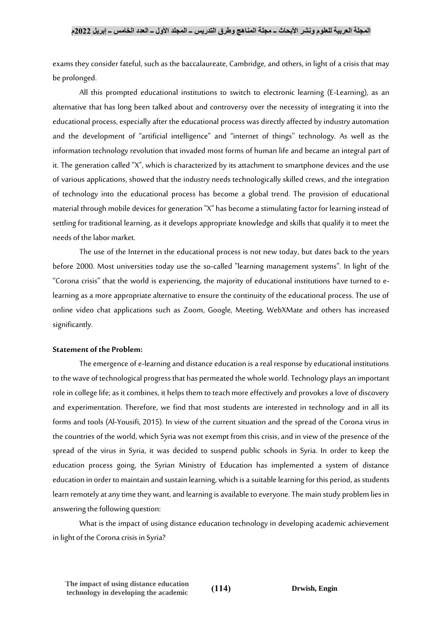exams they consider fateful, such as the baccalaureate, Cambridge, and others, in light of a crisis that may be prolonged.

All this prompted educational institutions to switch to electronic learning (E-Learning), as an alternative that has long been talked about and controversy over the necessity of integrating it into the educational process, especially after the educational process was directly affected by industry automation and the development of "artificial intelligence" and "internet of things'' technology. As well as the information technology revolution that invaded most forms of human life and became an integral part of it. The generation called "X", which is characterized by its attachment to smartphone devices and the use of various applications, showed that the industry needs technologically skilled crews, and the integration of technology into the educational process has become a global trend. The provision of educational material through mobile devices for generation "X" has become a stimulating factor for learning instead of settling for traditional learning, as it develops appropriate knowledge and skills that qualify it to meet the needs of the labor market.

The use of the Internet in the educational process is not new today, but dates back to the years before 2000. Most universities today use the so-called "learning management systems". In light of the "Corona crisis" that the world is experiencing, the majority of educational institutions have turned to elearning as a more appropriate alternative to ensure the continuity of the educational process. The use of online video chat applications such as Zoom, Google, Meeting, WebXMate and others has increased significantly.

#### **Statement of the Problem:**

The emergence of e-learning and distance education is a real response by educational institutions to the wave of technological progress that has permeated the whole world. Technology plays an important role in college life; as it combines, it helps them to teach more effectively and provokes a love of discovery and experimentation. Therefore, we find that most students are interested in technology and in all its forms and tools (Al-Yousifi, 2015). In view of the current situation and the spread of the Corona virus in the countries of the world, which Syria was not exempt from this crisis, and in view of the presence of the spread of the virus in Syria, it was decided to suspend public schools in Syria. In order to keep the education process going, the Syrian Ministry of Education has implemented a system of distance education in order to maintain and sustain learning, which is a suitable learning for this period, as students learn remotely at any time they want, and learning is available to everyone. The main study problem lies in answering the following question:

What is the impact of using distance education technology in developing academic achievement in light of the Corona crisis in Syria?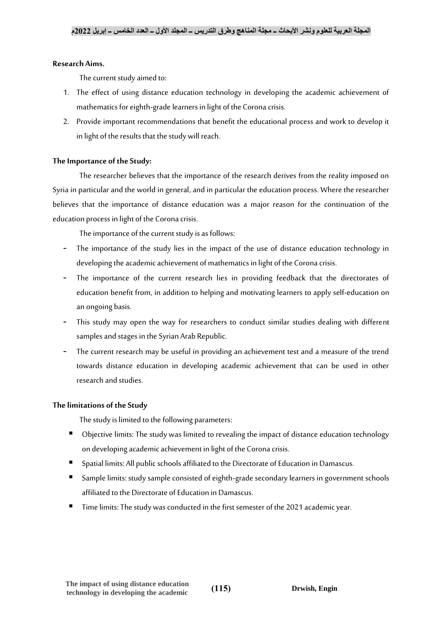## **Research Aims.**

The current study aimed to:

- 1. The effect of using distance education technology in developing the academic achievement of mathematics for eighth-grade learners in light of the Corona crisis.
- 2. Provide important recommendations that benefit the educational process and work to develop it in light of the results that the study will reach.

# **The Importance of the Study:**

The researcher believes that the importance of the research derives from the reality imposed on Syria in particular and the world in general, and in particular the education process. Where the researcher believes that the importance of distance education was a major reason for the continuation of the education process in light of the Corona crisis.

The importance of the current study is as follows:

- The importance of the study lies in the impact of the use of distance education technology in developing the academic achievement of mathematics in light of the Corona crisis.
- The importance of the current research lies in providing feedback that the directorates of education benefit from, in addition to helping and motivating learners to apply self-education on an ongoing basis.
- This study may open the way for researchers to conduct similar studies dealing with different samples and stages in the Syrian Arab Republic.
- The current research may be useful in providing an achievement test and a measure of the trend towards distance education in developing academic achievement that can be used in other research and studies.

## **The limitations of the Study**

The study is limited to the following parameters:

- Objective limits: The study was limited to revealing the impact of distance education technology on developing academic achievement in light of the Corona crisis.
- Spatial limits: All public schools affiliated to the Directorate of Education in Damascus.
- Sample limits: study sample consisted of eighth-grade secondary learners in government schools affiliated to the Directorate of Education in Damascus.
- Time limits: The study was conducted in the first semester of the 2021 academic year.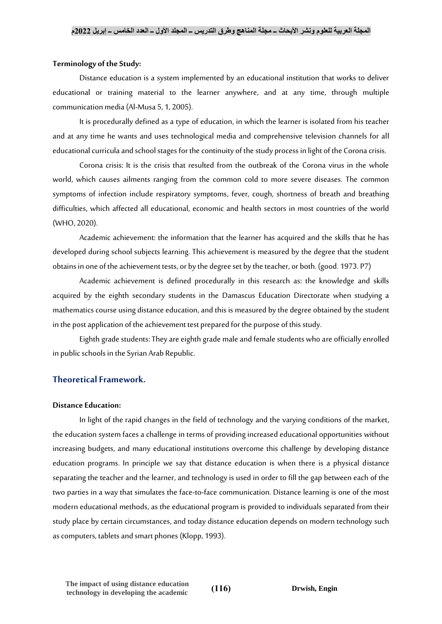### **Terminology of the Study:**

Distance education is a system implemented by an educational institution that works to deliver educational or training material to the learner anywhere, and at any time, through multiple communication media (Al-Musa 5, 1, 2005).

It is procedurally defined as a type of education, in which the learner is isolated from his teacher and at any time he wants and uses technological media and comprehensive television channels for all educational curricula and school stages for the continuity of the study process in light of the Corona crisis.

Corona crisis: It is the crisis that resulted from the outbreak of the Corona virus in the whole world, which causes ailments ranging from the common cold to more severe diseases. The common symptoms of infection include respiratory symptoms, fever, cough, shortness of breath and breathing difficulties, which affected all educational, economic and health sectors in most countries of the world (WHO, 2020).

Academic achievement: the information that the learner has acquired and the skills that he has developed during school subjects learning. This achievement is measured by the degree that the student obtains in one of the achievement tests, or by the degree set by the teacher, or both. (good. 1973. P7)

Academic achievement is defined procedurally in this research as: the knowledge and skills acquired by the eighth secondary students in the Damascus Education Directorate when studying a mathematics course using distance education, and this is measured by the degree obtained by the student in the post application of the achievement test prepared for the purpose of this study.

Eighth grade students: They are eighth grade male and female students who are officially enrolled in public schools in the Syrian Arab Republic.

## **Theoretical Framework.**

## **Distance Education:**

In light of the rapid changes in the field of technology and the varying conditions of the market, the education system faces a challenge in terms of providing increased educational opportunities without increasing budgets, and many educational institutions overcome this challenge by developing distance education programs. In principle we say that distance education is when there is a physical distance separating the teacher and the learner, and technology is used in order to fill the gap between each of the two parties in a way that simulates the face-to-face communication. Distance learning is one of the most modern educational methods, as the educational program is provided to individuals separated from their study place by certain circumstances, and today distance education depends on modern technology such as computers, tablets and smart phones (Klopp, 1993).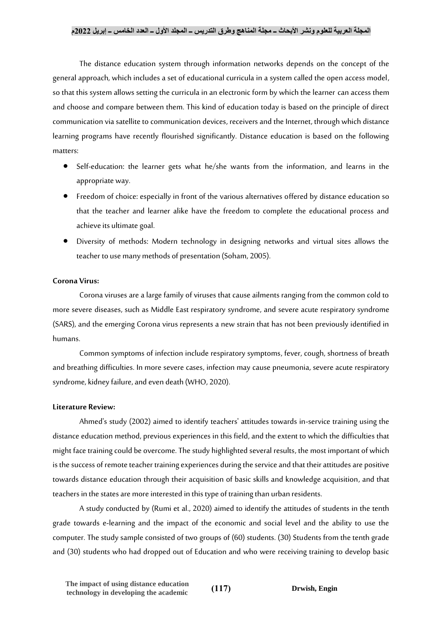## **المجلة العربية للعلوم ونشر األبحاث ــ مجلة المناهج وطرق التدريس ــ المجلد األول ــ العدد الخامس ــ إبريل 2022م**

The distance education system through information networks depends on the concept of the general approach, which includes a set of educational curricula in a system called the open access model, so that this system allows setting the curricula in an electronic form by which the learner can access them and choose and compare between them. This kind of education today is based on the principle of direct communication via satellite to communication devices, receivers and the Internet, through which distance learning programs have recently flourished significantly. Distance education is based on the following matters:

- Self-education: the learner gets what he/she wants from the information, and learns in the appropriate way.
- Freedom of choice: especially in front of the various alternatives offered by distance education so that the teacher and learner alike have the freedom to complete the educational process and achieve its ultimate goal.
- Diversity of methods: Modern technology in designing networks and virtual sites allows the teacher to use many methods of presentation (Soham, 2005).

## **Corona Virus:**

Corona viruses are a large family of viruses that cause ailments ranging from the common cold to more severe diseases, such as Middle East respiratory syndrome, and severe acute respiratory syndrome (SARS), and the emerging Corona virus represents a new strain that has not been previously identified in humans.

Common symptoms of infection include respiratory symptoms, fever, cough, shortness of breath and breathing difficulties. In more severe cases, infection may cause pneumonia, severe acute respiratory syndrome, kidney failure, and even death (WHO, 2020).

## **Literature Review:**

Ahmed's study (2002) aimed to identify teachers' attitudes towards in-service training using the distance education method, previous experiences in this field, and the extent to which the difficulties that might face training could be overcome. The study highlighted several results, the most important of which is the success of remote teacher training experiences during the service and that their attitudes are positive towards distance education through their acquisition of basic skills and knowledge acquisition, and that teachers in the states are more interested in this type of training than urban residents.

A study conducted by (Rumi et al., 2020) aimed to identify the attitudes of students in the tenth grade towards e-learning and the impact of the economic and social level and the ability to use the computer. The study sample consisted of two groups of (60) students. (30) Students from the tenth grade and (30) students who had dropped out of Education and who were receiving training to develop basic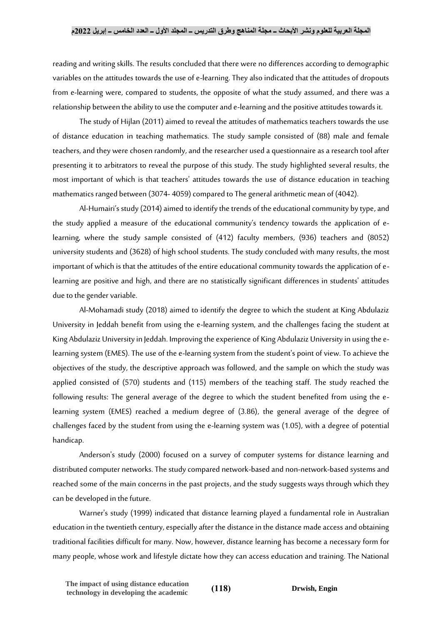reading and writing skills. The results concluded that there were no differences according to demographic variables on the attitudes towards the use of e-learning. They also indicated that the attitudes of dropouts from e-learning were, compared to students, the opposite of what the study assumed, and there was a relationship between the ability to use the computer and e-learning and the positive attitudes towards it.

The study of Hijlan (2011) aimed to reveal the attitudes of mathematics teachers towards the use of distance education in teaching mathematics. The study sample consisted of (88) male and female teachers, and they were chosen randomly, and the researcher used a questionnaire as a research tool after presenting it to arbitrators to reveal the purpose of this study. The study highlighted several results, the most important of which is that teachers' attitudes towards the use of distance education in teaching mathematics ranged between (3074- 4059) compared to The general arithmetic mean of (4042).

Al-Humairi's study (2014) aimed to identify the trends of the educational community by type, and the study applied a measure of the educational community's tendency towards the application of elearning, where the study sample consisted of (412) faculty members, (936) teachers and (8052) university students and (3628) of high school students. The study concluded with many results, the most important of which is that the attitudes of the entire educational community towards the application of elearning are positive and high, and there are no statistically significant differences in students' attitudes due to the gender variable.

Al-Mohamadi study (2018) aimed to identify the degree to which the student at King Abdulaziz University in Jeddah benefit from using the e-learning system, and the challenges facing the student at King Abdulaziz University in Jeddah. Improving the experience of King Abdulaziz University in using the elearning system (EMES). The use of the e-learning system from the student's point of view. To achieve the objectives of the study, the descriptive approach was followed, and the sample on which the study was applied consisted of (570) students and (115) members of the teaching staff. The study reached the following results: The general average of the degree to which the student benefited from using the elearning system (EMES) reached a medium degree of (3.86), the general average of the degree of challenges faced by the student from using the e-learning system was (1.05), with a degree of potential handicap.

Anderson's study (2000) focused on a survey of computer systems for distance learning and distributed computer networks. The study compared network-based and non-network-based systems and reached some of the main concerns in the past projects, and the study suggests ways through which they can be developed in the future.

Warner's study (1999) indicated that distance learning played a fundamental role in Australian education in the twentieth century, especially after the distance in the distance made access and obtaining traditional facilities difficult for many. Now, however, distance learning has become a necessary form for many people, whose work and lifestyle dictate how they can access education and training. The National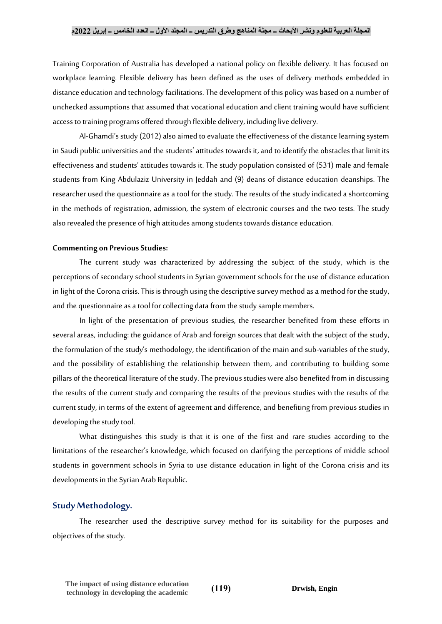Training Corporation of Australia has developed a national policy on flexible delivery. It has focused on workplace learning. Flexible delivery has been defined as the uses of delivery methods embedded in distance education and technology facilitations. The development of this policy was based on a number of unchecked assumptions that assumed that vocational education and client training would have sufficient access to training programs offered through flexible delivery, including live delivery.

Al-Ghamdi's study (2012) also aimed to evaluate the effectiveness of the distance learning system in Saudi public universities and the students' attitudes towards it, and to identify the obstacles that limit its effectiveness and students' attitudes towards it. The study population consisted of (531) male and female students from King Abdulaziz University in Jeddah and (9) deans of distance education deanships. The researcher used the questionnaire as a tool for the study. The results of the study indicated a shortcoming in the methods of registration, admission, the system of electronic courses and the two tests. The study also revealed the presence of high attitudes among students towards distance education.

#### **Commenting on Previous Studies:**

The current study was characterized by addressing the subject of the study, which is the perceptions of secondary school students in Syrian government schools for the use of distance education in light of the Corona crisis. This is through using the descriptive survey method as a method for the study, and the questionnaire as a tool for collecting data from the study sample members.

In light of the presentation of previous studies, the researcher benefited from these efforts in several areas, including: the guidance of Arab and foreign sources that dealt with the subject of the study, the formulation of the study's methodology, the identification of the main and sub-variables of the study, and the possibility of establishing the relationship between them, and contributing to building some pillars of the theoretical literature of the study. The previous studies were also benefited from in discussing the results of the current study and comparing the results of the previous studies with the results of the current study, in terms of the extent of agreement and difference, and benefiting from previous studies in developing the study tool.

What distinguishes this study is that it is one of the first and rare studies according to the limitations of the researcher's knowledge, which focused on clarifying the perceptions of middle school students in government schools in Syria to use distance education in light of the Corona crisis and its developments in the Syrian Arab Republic.

## **Study Methodology.**

The researcher used the descriptive survey method for its suitability for the purposes and objectives of the study.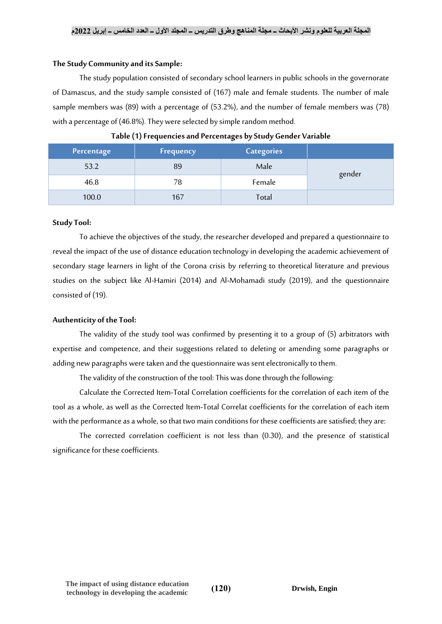## **The Study Community and its Sample:**

The study population consisted of secondary school learners in public schools in the governorate of Damascus, and the study sample consisted of (167) male and female students. The number of male sample members was (89) with a percentage of (53.2%), and the number of female members was (78) with a percentage of (46.8%). They were selected by simple random method.

| Percentage | <b>Frequency</b> | <b>Categories</b> |        |
|------------|------------------|-------------------|--------|
| 53.2       | 89               | Male              |        |
| 46.8       | 78               | Female            | gender |
| 100.0      | 167              | Total             |        |

|  |  | Table (1) Frequencies and Percentages by Study Gender Variable |  |  |  |  |
|--|--|----------------------------------------------------------------|--|--|--|--|
|--|--|----------------------------------------------------------------|--|--|--|--|

## **Study Tool:**

To achieve the objectives of the study, the researcher developed and prepared a questionnaire to reveal the impact of the use of distance education technology in developing the academic achievement of secondary stage learners in light of the Corona crisis by referring to theoretical literature and previous studies on the subject like Al-Hamiri (2014) and Al-Mohamadi study (2019), and the questionnaire consisted of (19).

# **Authenticity of the Tool:**

The validity of the study tool was confirmed by presenting it to a group of (5) arbitrators with expertise and competence, and their suggestions related to deleting or amending some paragraphs or adding new paragraphs were taken and the questionnaire was sent electronically to them.

The validity of the construction of the tool: This was done through the following:

Calculate the Corrected Item-Total Correlation coefficients for the correlation of each item of the tool as a whole, as well as the Corrected Item-Total Correlat coefficients for the correlation of each item with the performance as a whole, so that two main conditions for these coefficients are satisfied; they are:

The corrected correlation coefficient is not less than (0.30), and the presence of statistical significance for these coefficients.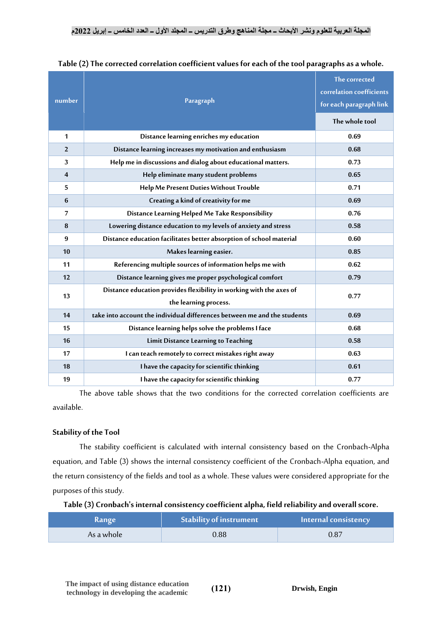| number                  | Paragraph                                                                                    | The corrected<br>correlation coefficients<br>for each paragraph link |  |  |
|-------------------------|----------------------------------------------------------------------------------------------|----------------------------------------------------------------------|--|--|
|                         |                                                                                              | The whole tool                                                       |  |  |
| 1                       | Distance learning enriches my education                                                      | 0.69                                                                 |  |  |
| $\overline{2}$          | Distance learning increases my motivation and enthusiasm                                     | 0.68                                                                 |  |  |
| 3                       | Help me in discussions and dialog about educational matters.                                 | 0.73                                                                 |  |  |
| $\overline{\mathbf{4}}$ | Help eliminate many student problems                                                         | 0.65                                                                 |  |  |
| 5                       | Help Me Present Duties Without Trouble                                                       | 0.71                                                                 |  |  |
| 6                       | Creating a kind of creativity for me                                                         | 0.69                                                                 |  |  |
| $\overline{7}$          | Distance Learning Helped Me Take Responsibility                                              | 0.76                                                                 |  |  |
| 8                       | Lowering distance education to my levels of anxiety and stress                               | 0.58                                                                 |  |  |
| 9                       | Distance education facilitates better absorption of school material                          | 0.60                                                                 |  |  |
| 10                      | Makes learning easier.                                                                       | 0.85                                                                 |  |  |
| 11                      | Referencing multiple sources of information helps me with                                    | 0.62                                                                 |  |  |
| 12                      | Distance learning gives me proper psychological comfort                                      | 0.79                                                                 |  |  |
| 13                      | Distance education provides flexibility in working with the axes of<br>the learning process. | 0.77                                                                 |  |  |
| 14                      | take into account the individual differences between me and the students                     | 0.69                                                                 |  |  |
| 15                      | Distance learning helps solve the problems I face                                            | 0.68                                                                 |  |  |
| 16                      | Limit Distance Learning to Teaching                                                          | 0.58                                                                 |  |  |
| 17                      | I can teach remotely to correct mistakes right away                                          | 0.63                                                                 |  |  |
| 18                      | I have the capacity for scientific thinking                                                  | 0.61                                                                 |  |  |
| 19                      | I have the capacity for scientific thinking                                                  | 0.77                                                                 |  |  |

**Table (2) The corrected correlation coefficient values for each of the tool paragraphs as a whole.**

The above table shows that the two conditions for the corrected correlation coefficients are available.

# **Stability of the Tool**

The stability coefficient is calculated with internal consistency based on the Cronbach-Alpha equation, and Table (3) shows the internal consistency coefficient of the Cronbach-Alpha equation, and the return consistency of the fields and tool as a whole. These values were considered appropriate for the purposes of this study.

| <b>Range</b> | <b>Stability of instrument</b> | Internal consistency |
|--------------|--------------------------------|----------------------|
| As a whole   | 0.88                           | 0.87                 |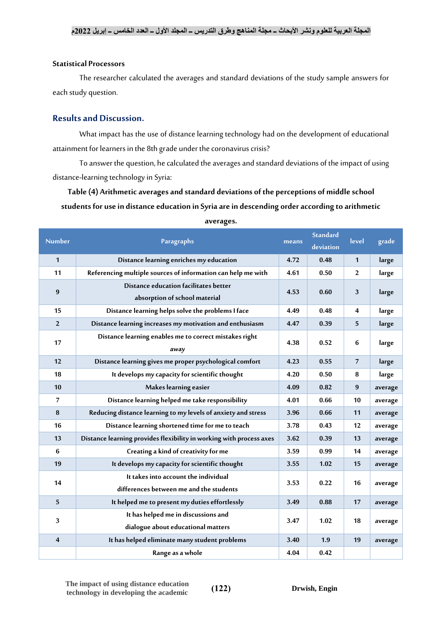## **Statistical Processors**

The researcher calculated the averages and standard deviations of the study sample answers for each study question.

# **Results and Discussion.**

What impact has the use of distance learning technology had on the development of educational attainment for learners in the 8th grade under the coronavirus crisis?

To answer the question, he calculated the averages and standard deviations of the impact of using distance-learning technology in Syria:

**Table (4) Arithmetic averages and standard deviations of the perceptions of middle school students for use in distance education in Syria are in descending order according to arithmetic** 

| <b>Number</b>    | Paragraphs                                                                      |                   | <b>Standard</b><br>deviation | level          | grade   |
|------------------|---------------------------------------------------------------------------------|-------------------|------------------------------|----------------|---------|
| $\mathbf{1}$     | Distance learning enriches my education                                         | 4.72              | 0.48                         | $\mathbf{1}$   | large   |
| 11               | Referencing multiple sources of information can help me with                    | 4.61              | 0.50                         | $\overline{2}$ | large   |
| $\boldsymbol{9}$ | Distance education facilitates better<br>absorption of school material          | 4.53              | 0.60<br>3                    |                | large   |
| 15               | Distance learning helps solve the problems I face                               | 4.49              | 0.48                         | 4              | large   |
| $\overline{2}$   | Distance learning increases my motivation and enthusiasm                        | 4.47              | 0.39                         | 5              | large   |
| 17               | Distance learning enables me to correct mistakes right<br>away                  | 4.38<br>0.52<br>6 |                              | large          |         |
| 12               | Distance learning gives me proper psychological comfort                         | 4.23              | 0.55                         | $\overline{7}$ | large   |
| 18               | It develops my capacity for scientific thought                                  |                   | 0.50                         | 8              | large   |
| 10               | Makes learning easier                                                           | 4.09              | 0.82                         | 9              | average |
| $\overline{7}$   | Distance learning helped me take responsibility                                 |                   | 0.66                         | 10             | average |
| $\bf 8$          | Reducing distance learning to my levels of anxiety and stress                   |                   | 0.66                         | 11             | average |
| 16               | Distance learning shortened time for me to teach                                | 3.78              | 0.43                         | 12             | average |
| 13               | Distance learning provides flexibility in working with process axes             | 3.62              | 0.39                         | 13             | average |
| 6                | Creating a kind of creativity for me                                            | 3.59              | 0.99                         | 14             | average |
| 19               | It develops my capacity for scientific thought                                  | 3.55              | 1.02                         | 15             | average |
| 14               | It takes into account the individual<br>differences between me and the students | 3.53              | 0.22                         | 16             | average |
| 5                | It helped me to present my duties effortlessly                                  | 3.49              | 0.88                         | 17             | average |
| 3                | It has helped me in discussions and<br>dialogue about educational matters       | 3.47              | 1.02                         | 18             | average |
| $\overline{4}$   | It has helped eliminate many student problems                                   | 3.40              | 1.9                          | 19             | average |
|                  | Range as a whole                                                                | 4.04              | 0.42                         |                |         |

| averages. |
|-----------|
|-----------|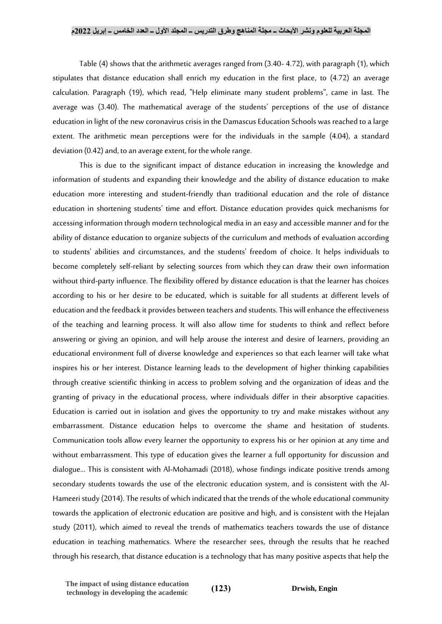#### **المجلة العربية للعلوم ونشر األبحاث ــ مجلة المناهج وطرق التدريس ــ المجلد األول ــ العدد الخامس ــ إبريل 2022م**

Table (4) shows that the arithmetic averages ranged from (3.40- 4.72), with paragraph (1), which stipulates that distance education shall enrich my education in the first place, to (4.72) an average calculation. Paragraph (19), which read, "Help eliminate many student problems", came in last. The average was (3.40). The mathematical average of the students' perceptions of the use of distance education in light of the new coronavirus crisis in the Damascus Education Schools was reached to a large extent. The arithmetic mean perceptions were for the individuals in the sample (4.04), a standard deviation (0.42) and, to an average extent, for the whole range.

This is due to the significant impact of distance education in increasing the knowledge and information of students and expanding their knowledge and the ability of distance education to make education more interesting and student-friendly than traditional education and the role of distance education in shortening students' time and effort. Distance education provides quick mechanisms for accessing information through modern technological media in an easy and accessible manner and for the ability of distance education to organize subjects of the curriculum and methods of evaluation according to students' abilities and circumstances, and the students' freedom of choice. It helps individuals to become completely self-reliant by selecting sources from which theycan draw their own information without third-party influence. The flexibility offered by distance education is that the learner has choices according to his or her desire to be educated, which is suitable for all students at different levels of education and the feedback it provides between teachers and students. This will enhance the effectiveness of the teaching and learning process. It will also allow time for students to think and reflect before answering or giving an opinion, and will help arouse the interest and desire of learners, providing an educational environment full of diverse knowledge and experiences so that each learner will take what inspires his or her interest. Distance learning leads to the development of higher thinking capabilities through creative scientific thinking in access to problem solving and the organization of ideas and the granting of privacy in the educational process, where individuals differ in their absorptive capacities. Education is carried out in isolation and gives the opportunity to try and make mistakes without any embarrassment. Distance education helps to overcome the shame and hesitation of students. Communication tools allow every learner the opportunity to express his or her opinion at any time and without embarrassment. This type of education gives the learner a full opportunity for discussion and dialogue... This is consistent with Al-Mohamadi (2018), whose findings indicate positive trends among secondary students towards the use of the electronic education system, and is consistent with the Al-Hameeri study (2014). The results of which indicated that the trends of the whole educational community towards the application of electronic education are positive and high, and is consistent with the Hejalan study (2011), which aimed to reveal the trends of mathematics teachers towards the use of distance education in teaching mathematics. Where the researcher sees, through the results that he reached through his research, that distance education is a technology that has many positive aspects that help the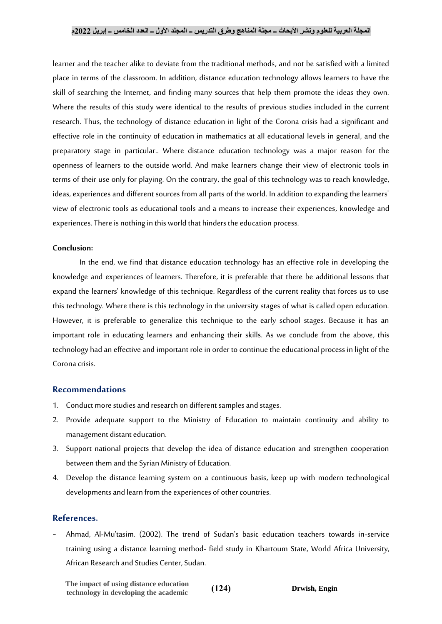## **المجلة العربية للعلوم ونشر األبحاث ــ مجلة المناهج وطرق التدريس ــ المجلد األول ــ العدد الخامس ــ إبريل 2022م**

learner and the teacher alike to deviate from the traditional methods, and not be satisfied with a limited place in terms of the classroom. In addition, distance education technology allows learners to have the skill of searching the Internet, and finding many sources that help them promote the ideas they own. Where the results of this study were identical to the results of previous studies included in the current research. Thus, the technology of distance education in light of the Corona crisis had a significant and effective role in the continuity of education in mathematics at all educational levels in general, and the preparatory stage in particular.. Where distance education technology was a major reason for the openness of learners to the outside world. And make learners change their view of electronic tools in terms of their use only for playing. On the contrary, the goal of this technology was to reach knowledge, ideas, experiences and different sources from all parts of the world. In addition to expanding the learners' view of electronic tools as educational tools and a means to increase their experiences, knowledge and experiences. There is nothing in this world that hinders the education process.

### **Conclusion:**

In the end, we find that distance education technology has an effective role in developing the knowledge and experiences of learners. Therefore, it is preferable that there be additional lessons that expand the learners' knowledge of this technique. Regardless of the current reality that forces us to use this technology. Where there is this technology in the university stages of what is called open education. However, it is preferable to generalize this technique to the early school stages. Because it has an important role in educating learners and enhancing their skills. As we conclude from the above, this technology had an effective and important role in order to continue the educational process in light of the Corona crisis.

## **Recommendations**

- 1. Conduct more studies and research on different samples and stages.
- 2. Provide adequate support to the Ministry of Education to maintain continuity and ability to management distant education.
- 3. Support national projects that develop the idea of distance education and strengthen cooperation between them and the Syrian Ministry of Education.
- 4. Develop the distance learning system on a continuous basis, keep up with modern technological developments and learn from the experiences of other countries.

## **References.**

- Ahmad, Al-Mu'tasim. (2002). The trend of Sudan's basic education teachers towards in-service training using a distance learning method- field study in Khartoum State, World Africa University, African Research and Studies Center, Sudan.